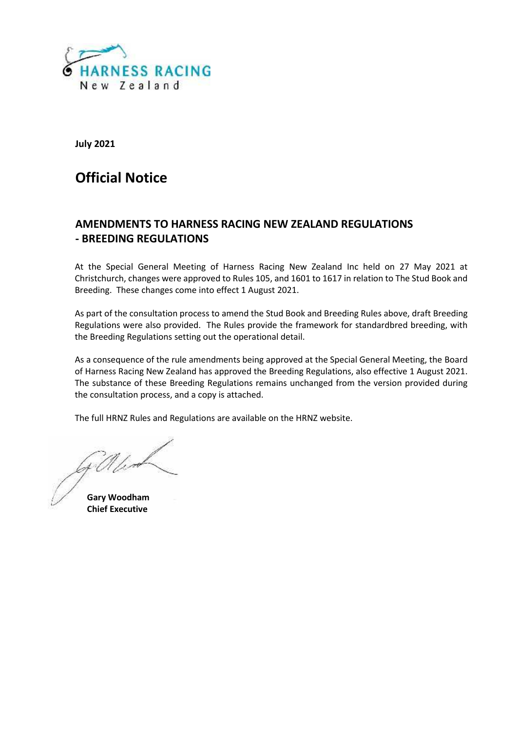

**July 2021**

# **Official Notice**

# **AMENDMENTS TO HARNESS RACING NEW ZEALAND REGULATIONS - BREEDING REGULATIONS**

At the Special General Meeting of Harness Racing New Zealand Inc held on 27 May 2021 at Christchurch, changes were approved to Rules 105, and 1601 to 1617 in relation to The Stud Book and Breeding. These changes come into effect 1 August 2021.

As part of the consultation process to amend the Stud Book and Breeding Rules above, draft Breeding Regulations were also provided. The Rules provide the framework for standardbred breeding, with the Breeding Regulations setting out the operational detail.

As a consequence of the rule amendments being approved at the Special General Meeting, the Board of Harness Racing New Zealand has approved the Breeding Regulations, also effective 1 August 2021. The substance of these Breeding Regulations remains unchanged from the version provided during the consultation process, and a copy is attached.

The full HRNZ Rules and Regulations are available on the HRNZ website.

**Gary Woodham Chief Executive**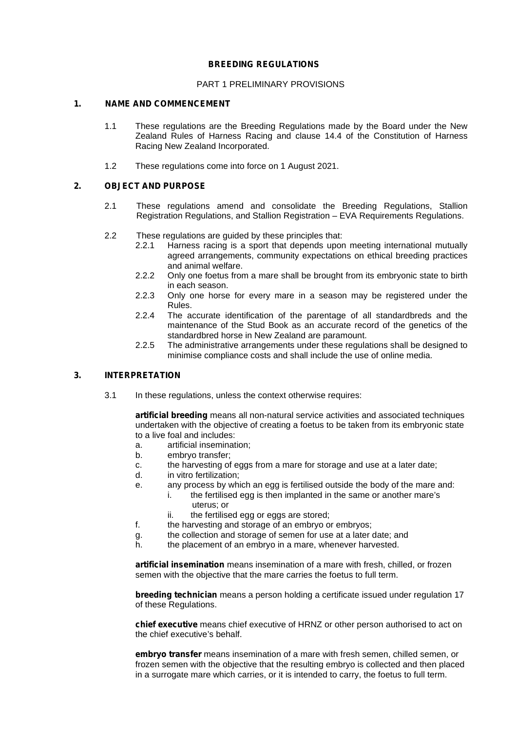#### **BREEDING REGULATIONS**

#### PART 1 PRELIMINARY PROVISIONS

### **1. NAME AND COMMENCEMENT**

- 1.1 These regulations are the Breeding Regulations made by the Board under the New Zealand Rules of Harness Racing and clause 14.4 of the Constitution of Harness Racing New Zealand Incorporated.
- 1.2 These regulations come into force on 1 August 2021.

#### **2. OBJECT AND PURPOSE**

- 2.1 These regulations amend and consolidate the Breeding Regulations, Stallion Registration Regulations, and Stallion Registration – EVA Requirements Regulations.
- 2.2 These regulations are guided by these principles that:
	- 2.2.1 Harness racing is a sport that depends upon meeting international mutually agreed arrangements, community expectations on ethical breeding practices and animal welfare.
	- 2.2.2 Only one foetus from a mare shall be brought from its embryonic state to birth in each season.
	- 2.2.3 Only one horse for every mare in a season may be registered under the Rules.
	- 2.2.4 The accurate identification of the parentage of all standardbreds and the maintenance of the Stud Book as an accurate record of the genetics of the standardbred horse in New Zealand are paramount.
	- 2.2.5 The administrative arrangements under these regulations shall be designed to minimise compliance costs and shall include the use of online media.

### **3. INTERPRETATION**

3.1 In these regulations, unless the context otherwise requires:

**artificial breeding** means all non-natural service activities and associated techniques undertaken with the objective of creating a foetus to be taken from its embryonic state to a live foal and includes:

- a. artificial insemination;
- b. embryo transfer;
- c. the harvesting of eggs from a mare for storage and use at a later date;
- d. in vitro fertilization;
- e. any process by which an egg is fertilised outside the body of the mare and:
	- i. the fertilised egg is then implanted in the same or another mare's
		- uterus; or
		- ii. the fertilised egg or eggs are stored;
- f. the harvesting and storage of an embryo or embryos;
- g. the collection and storage of semen for use at a later date; and
- h. the placement of an embryo in a mare, whenever harvested.

**artificial insemination** means insemination of a mare with fresh, chilled, or frozen semen with the objective that the mare carries the foetus to full term.

**breeding technician** means a person holding a certificate issued under regulation 17 of these Regulations.

**chief executive** means chief executive of HRNZ or other person authorised to act on the chief executive's behalf.

**embryo transfer** means insemination of a mare with fresh semen, chilled semen, or frozen semen with the objective that the resulting embryo is collected and then placed in a surrogate mare which carries, or it is intended to carry, the foetus to full term.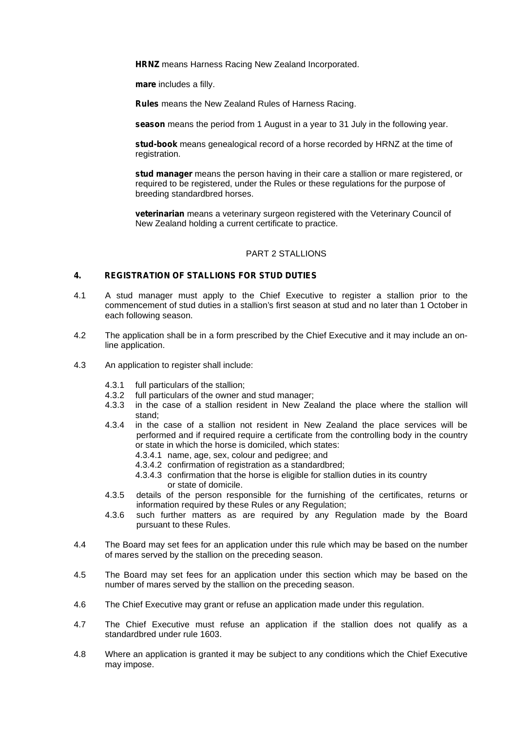**HRNZ** means Harness Racing New Zealand Incorporated.

**mare** includes a filly.

**Rules** means the New Zealand Rules of Harness Racing.

**season** means the period from 1 August in a year to 31 July in the following year.

**stud-book** means genealogical record of a horse recorded by HRNZ at the time of registration.

**stud manager** means the person having in their care a stallion or mare registered, or required to be registered, under the Rules or these regulations for the purpose of breeding standardbred horses.

**veterinarian** means a veterinary surgeon registered with the Veterinary Council of New Zealand holding a current certificate to practice.

#### PART 2 STALLIONS

#### **4. REGISTRATION OF STALLIONS FOR STUD DUTIES**

- 4.1 A stud manager must apply to the Chief Executive to register a stallion prior to the commencement of stud duties in a stallion's first season at stud and no later than 1 October in each following season.
- 4.2 The application shall be in a form prescribed by the Chief Executive and it may include an online application.
- 4.3 An application to register shall include:
	- 4.3.1 full particulars of the stallion;<br>4.3.2 full particulars of the owner a
	- full particulars of the owner and stud manager;
	- 4.3.3 in the case of a stallion resident in New Zealand the place where the stallion will stand;
	- 4.3.4 in the case of a stallion not resident in New Zealand the place services will be performed and if required require a certificate from the controlling body in the country or state in which the horse is domiciled, which states:
		- 4.3.4.1 name, age, sex, colour and pedigree; and
		- 4.3.4.2 confirmation of registration as a standardbred;
		- 4.3.4.3 confirmation that the horse is eligible for stallion duties in its country or state of domicile.
	- 4.3.5 details of the person responsible for the furnishing of the certificates, returns or information required by these Rules or any Regulation;
	- 4.3.6 such further matters as are required by any Regulation made by the Board pursuant to these Rules.
- 4.4 The Board may set fees for an application under this rule which may be based on the number of mares served by the stallion on the preceding season.
- 4.5 The Board may set fees for an application under this section which may be based on the number of mares served by the stallion on the preceding season.
- 4.6 The Chief Executive may grant or refuse an application made under this regulation.
- 4.7 The Chief Executive must refuse an application if the stallion does not qualify as a standardbred under rule 1603.
- 4.8 Where an application is granted it may be subject to any conditions which the Chief Executive may impose.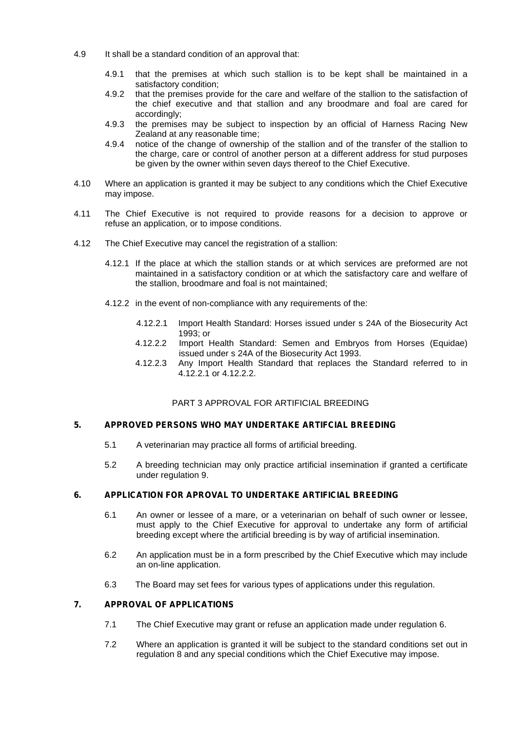- 4.9 It shall be a standard condition of an approval that:
	- 4.9.1 that the premises at which such stallion is to be kept shall be maintained in a satisfactory condition;
	- 4.9.2 that the premises provide for the care and welfare of the stallion to the satisfaction of the chief executive and that stallion and any broodmare and foal are cared for accordingly;
	- 4.9.3 the premises may be subject to inspection by an official of Harness Racing New Zealand at any reasonable time;
	- 4.9.4 notice of the change of ownership of the stallion and of the transfer of the stallion to the charge, care or control of another person at a different address for stud purposes be given by the owner within seven days thereof to the Chief Executive.
- 4.10 Where an application is granted it may be subject to any conditions which the Chief Executive may impose.
- 4.11 The Chief Executive is not required to provide reasons for a decision to approve or refuse an application, or to impose conditions.
- 4.12 The Chief Executive may cancel the registration of a stallion:
	- 4.12.1 If the place at which the stallion stands or at which services are preformed are not maintained in a satisfactory condition or at which the satisfactory care and welfare of the stallion, broodmare and foal is not maintained;
	- 4.12.2 in the event of non-compliance with any requirements of the:
		- 4.12.2.1 Import Health Standard: Horses issued under s 24A of the Biosecurity Act 1993; or
		- 4.12.2.2 Import Health Standard: Semen and Embryos from Horses (Equidae) issued under s 24A of the Biosecurity Act 1993.
		- 4.12.2.3 Any Import Health Standard that replaces the Standard referred to in 4.12.2.1 or 4.12.2.2.

# PART 3 APPROVAL FOR ARTIFICIAL BREEDING

### **5. APPROVED PERSONS WHO MAY UNDERTAKE ARTIFCIAL BREEDING**

- 5.1 A veterinarian may practice all forms of artificial breeding.
- 5.2 A breeding technician may only practice artificial insemination if granted a certificate under regulation 9.

#### **6. APPLICATION FOR APROVAL TO UNDERTAKE ARTIFICIAL BREEDING**

- 6.1 An owner or lessee of a mare, or a veterinarian on behalf of such owner or lessee, must apply to the Chief Executive for approval to undertake any form of artificial breeding except where the artificial breeding is by way of artificial insemination.
- 6.2 An application must be in a form prescribed by the Chief Executive which may include an on-line application.
- 6.3 The Board may set fees for various types of applications under this regulation.

#### **7. APPROVAL OF APPLICATIONS**

- 7.1 The Chief Executive may grant or refuse an application made under regulation 6.
- 7.2 Where an application is granted it will be subject to the standard conditions set out in regulation 8 and any special conditions which the Chief Executive may impose.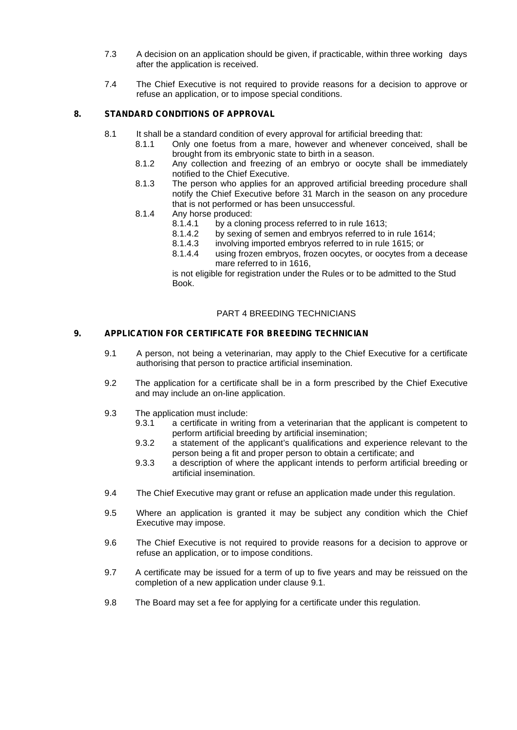- 7.3 A decision on an application should be given, if practicable, within three working days after the application is received.
- 7.4 The Chief Executive is not required to provide reasons for a decision to approve or refuse an application, or to impose special conditions.

# **8. STANDARD CONDITIONS OF APPROVAL**

- 8.1 It shall be a standard condition of every approval for artificial breeding that:
	- 8.1.1 Only one foetus from a mare, however and whenever conceived, shall be brought from its embryonic state to birth in a season.
	- 8.1.2 Any collection and freezing of an embryo or oocyte shall be immediately notified to the Chief Executive.
	- 8.1.3 The person who applies for an approved artificial breeding procedure shall notify the Chief Executive before 31 March in the season on any procedure that is not performed or has been unsuccessful.
	- 8.1.4 Any horse produced:
		- 8.1.4.1 by a cloning process referred to in rule 1613;<br>8.1.4.2 by sexing of semen and embryos referred to i
		- 8.1.4.2 by sexing of semen and embryos referred to in rule 1614;<br>8.1.4.3 involving imported embryos referred to in rule 1615; or
		- involving imported embryos referred to in rule 1615; or
		- 8.1.4.4 using frozen embryos, frozen oocytes, or oocytes from a decease mare referred to in 1616,

is not eligible for registration under the Rules or to be admitted to the Stud Book.

#### PART 4 BREEDING TECHNICIANS

#### **9. APPLICATION FOR CERTIFICATE FOR BREEDING TECHNICIAN**

- 9.1 A person, not being a veterinarian, may apply to the Chief Executive for a certificate authorising that person to practice artificial insemination.
- 9.2 The application for a certificate shall be in a form prescribed by the Chief Executive and may include an on-line application.
- 9.3 The application must include:
	- 9.3.1 a certificate in writing from a veterinarian that the applicant is competent to perform artificial breeding by artificial insemination;
	- 9.3.2 a statement of the applicant's qualifications and experience relevant to the person being a fit and proper person to obtain a certificate; and
	- 9.3.3 a description of where the applicant intends to perform artificial breeding or artificial insemination.
- 9.4 The Chief Executive may grant or refuse an application made under this regulation.
- 9.5 Where an application is granted it may be subject any condition which the Chief Executive may impose.
- 9.6 The Chief Executive is not required to provide reasons for a decision to approve or refuse an application, or to impose conditions.
- 9.7 A certificate may be issued for a term of up to five years and may be reissued on the completion of a new application under clause 9.1.
- 9.8 The Board may set a fee for applying for a certificate under this regulation.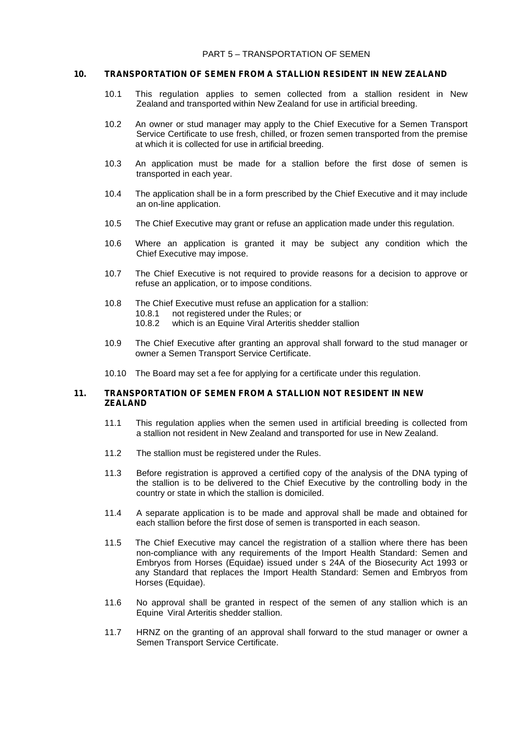#### **10. TRANSPORTATION OF SEMEN FROM A STALLION RESIDENT IN NEW ZEALAND**

- 10.1 This regulation applies to semen collected from a stallion resident in New Zealand and transported within New Zealand for use in artificial breeding.
- 10.2 An owner or stud manager may apply to the Chief Executive for a Semen Transport Service Certificate to use fresh, chilled, or frozen semen transported from the premise at which it is collected for use in artificial breeding.
- 10.3 An application must be made for a stallion before the first dose of semen is transported in each year.
- 10.4 The application shall be in a form prescribed by the Chief Executive and it may include an on-line application.
- 10.5 The Chief Executive may grant or refuse an application made under this regulation.
- 10.6 Where an application is granted it may be subject any condition which the Chief Executive may impose.
- 10.7 The Chief Executive is not required to provide reasons for a decision to approve or refuse an application, or to impose conditions.
- 10.8 The Chief Executive must refuse an application for a stallion: 10.8.1 not registered under the Rules; or<br>10.8.2 which is an Equine Viral Arteritis s which is an Equine Viral Arteritis shedder stallion
- 10.9 The Chief Executive after granting an approval shall forward to the stud manager or owner a Semen Transport Service Certificate.
- 10.10 The Board may set a fee for applying for a certificate under this regulation.

#### **11. TRANSPORTATION OF SEMEN FROM A STALLION NOT RESIDENT IN NEW ZEALAND**

- 11.1 This regulation applies when the semen used in artificial breeding is collected from a stallion not resident in New Zealand and transported for use in New Zealand.
- 11.2 The stallion must be registered under the Rules.
- 11.3 Before registration is approved a certified copy of the analysis of the DNA typing of the stallion is to be delivered to the Chief Executive by the controlling body in the country or state in which the stallion is domiciled.
- 11.4 A separate application is to be made and approval shall be made and obtained for each stallion before the first dose of semen is transported in each season.
- 11.5 The Chief Executive may cancel the registration of a stallion where there has been non-compliance with any requirements of the Import Health Standard: Semen and Embryos from Horses (Equidae) issued under s 24A of the Biosecurity Act 1993 or any Standard that replaces the Import Health Standard: Semen and Embryos from Horses (Equidae).
- 11.6 No approval shall be granted in respect of the semen of any stallion which is an Equine Viral Arteritis shedder stallion.
- 11.7 HRNZ on the granting of an approval shall forward to the stud manager or owner a Semen Transport Service Certificate.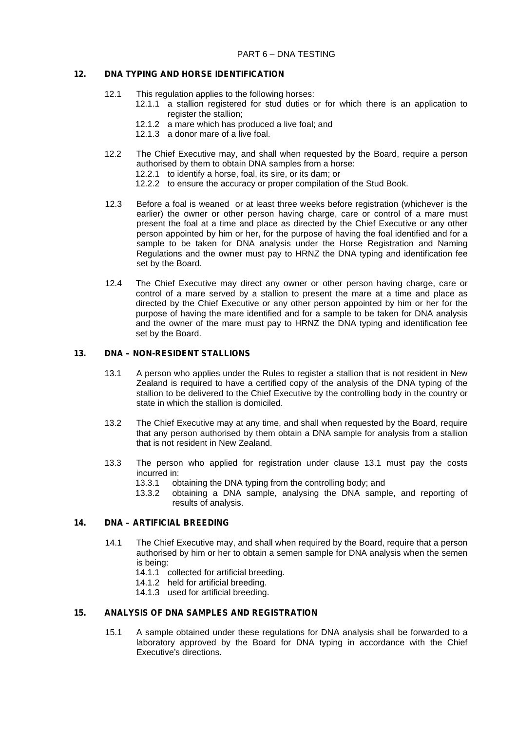#### **12. DNA TYPING AND HORSE IDENTIFICATION**

- 12.1 This regulation applies to the following horses:
	- 12.1.1 a stallion registered for stud duties or for which there is an application to register the stallion:
	- 12.1.2 a mare which has produced a live foal; and
	- 12.1.3 a donor mare of a live foal.
- 12.2 The Chief Executive may, and shall when requested by the Board, require a person authorised by them to obtain DNA samples from a horse:
	- 12.2.1 to identify a horse, foal, its sire, or its dam; or
	- 12.2.2 to ensure the accuracy or proper compilation of the Stud Book.
- 12.3 Before a foal is weaned or at least three weeks before registration (whichever is the earlier) the owner or other person having charge, care or control of a mare must present the foal at a time and place as directed by the Chief Executive or any other person appointed by him or her, for the purpose of having the foal identified and for a sample to be taken for DNA analysis under the Horse Registration and Naming Regulations and the owner must pay to HRNZ the DNA typing and identification fee set by the Board.
- 12.4 The Chief Executive may direct any owner or other person having charge, care or control of a mare served by a stallion to present the mare at a time and place as directed by the Chief Executive or any other person appointed by him or her for the purpose of having the mare identified and for a sample to be taken for DNA analysis and the owner of the mare must pay to HRNZ the DNA typing and identification fee set by the Board.

#### **13. DNA – NON-RESIDENT STALLIONS**

- 13.1 A person who applies under the Rules to register a stallion that is not resident in New Zealand is required to have a certified copy of the analysis of the DNA typing of the stallion to be delivered to the Chief Executive by the controlling body in the country or state in which the stallion is domiciled.
- 13.2 The Chief Executive may at any time, and shall when requested by the Board, require that any person authorised by them obtain a DNA sample for analysis from a stallion that is not resident in New Zealand.
- 13.3 The person who applied for registration under clause 13.1 must pay the costs incurred in:
	- 13.3.1 obtaining the DNA typing from the controlling body; and
	- 13.3.2 obtaining a DNA sample, analysing the DNA sample, and reporting of results of analysis.

#### **14. DNA – ARTIFICIAL BREEDING**

- 14.1 The Chief Executive may, and shall when required by the Board, require that a person authorised by him or her to obtain a semen sample for DNA analysis when the semen is being:
	- 14.1.1 collected for artificial breeding.
	- 14.1.2 held for artificial breeding.
	- 14.1.3 used for artificial breeding.

# **15. ANALYSIS OF DNA SAMPLES AND REGISTRATION**

15.1 A sample obtained under these regulations for DNA analysis shall be forwarded to a laboratory approved by the Board for DNA typing in accordance with the Chief Executive's directions.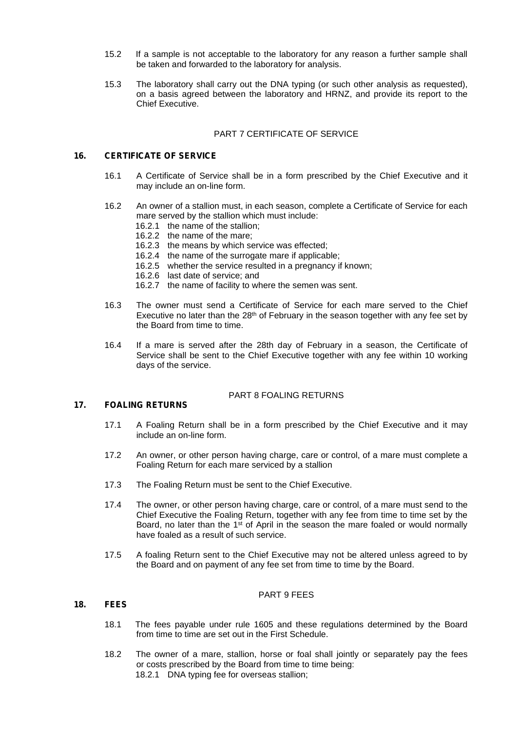- 15.2 If a sample is not acceptable to the laboratory for any reason a further sample shall be taken and forwarded to the laboratory for analysis.
- 15.3 The laboratory shall carry out the DNA typing (or such other analysis as requested), on a basis agreed between the laboratory and HRNZ, and provide its report to the Chief Executive.

#### PART 7 CERTIFICATE OF SERVICE

#### **16. CERTIFICATE OF SERVICE**

- 16.1 A Certificate of Service shall be in a form prescribed by the Chief Executive and it may include an on-line form.
- 16.2 An owner of a stallion must, in each season, complete a Certificate of Service for each mare served by the stallion which must include:
	- 16.2.1 the name of the stallion;
	- 16.2.2 the name of the mare;
	- 16.2.3 the means by which service was effected;
	- 16.2.4 the name of the surrogate mare if applicable;
	- 16.2.5 whether the service resulted in a pregnancy if known;
	- 16.2.6 last date of service; and
	- 16.2.7 the name of facility to where the semen was sent.
- 16.3 The owner must send a Certificate of Service for each mare served to the Chief Executive no later than the 28<sup>th</sup> of February in the season together with any fee set by the Board from time to time.
- 16.4 If a mare is served after the 28th day of February in a season, the Certificate of Service shall be sent to the Chief Executive together with any fee within 10 working days of the service.

#### PART 8 FOALING RETURNS

#### **17. FOALING RETURNS**

- 17.1 A Foaling Return shall be in a form prescribed by the Chief Executive and it may include an on-line form.
- 17.2 An owner, or other person having charge, care or control, of a mare must complete a Foaling Return for each mare serviced by a stallion
- 17.3 The Foaling Return must be sent to the Chief Executive.
- 17.4 The owner, or other person having charge, care or control, of a mare must send to the Chief Executive the Foaling Return, together with any fee from time to time set by the Board, no later than the 1<sup>st</sup> of April in the season the mare foaled or would normally have foaled as a result of such service.
- 17.5 A foaling Return sent to the Chief Executive may not be altered unless agreed to by the Board and on payment of any fee set from time to time by the Board.

#### PART 9 FEES

# **18. FEES**

- 18.1 The fees payable under rule 1605 and these regulations determined by the Board from time to time are set out in the First Schedule.
- 18.2 The owner of a mare, stallion, horse or foal shall jointly or separately pay the fees or costs prescribed by the Board from time to time being: 18.2.1 DNA typing fee for overseas stallion;